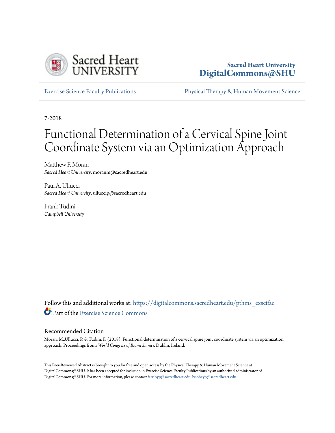

# **Sacred Heart University [DigitalCommons@SHU](https://digitalcommons.sacredheart.edu?utm_source=digitalcommons.sacredheart.edu%2Fpthms_exscifac%2F21&utm_medium=PDF&utm_campaign=PDFCoverPages)**

[Exercise Science Faculty Publications](https://digitalcommons.sacredheart.edu/pthms_exscifac?utm_source=digitalcommons.sacredheart.edu%2Fpthms_exscifac%2F21&utm_medium=PDF&utm_campaign=PDFCoverPages) [Physical Therapy & Human Movement Science](https://digitalcommons.sacredheart.edu/pthms?utm_source=digitalcommons.sacredheart.edu%2Fpthms_exscifac%2F21&utm_medium=PDF&utm_campaign=PDFCoverPages)

7-2018

# Functional Determination of a Cervical Spine Joint Coordinate System via an Optimization Approach

Matthew F. Moran *Sacred Heart University*, moranm@sacredheart.edu

Paul A. Ullucci *Sacred Heart University*, ulluccip@sacredheart.edu

Frank Tudini *Campbell University*

Follow this and additional works at: [https://digitalcommons.sacredheart.edu/pthms\\_exscifac](https://digitalcommons.sacredheart.edu/pthms_exscifac?utm_source=digitalcommons.sacredheart.edu%2Fpthms_exscifac%2F21&utm_medium=PDF&utm_campaign=PDFCoverPages) Part of the [Exercise Science Commons](http://network.bepress.com/hgg/discipline/1091?utm_source=digitalcommons.sacredheart.edu%2Fpthms_exscifac%2F21&utm_medium=PDF&utm_campaign=PDFCoverPages)

#### Recommended Citation

Moran, M.,Ullucci, P. & Tudini, F. (2018). Functional determination of a cervical spine joint coordinate system via an optimization approach. Proceedings from: *World Congress of Biomechanics.* Dublin, Ireland.

This Peer-Reviewed Abstract is brought to you for free and open access by the Physical Therapy & Human Movement Science at DigitalCommons@SHU. It has been accepted for inclusion in Exercise Science Faculty Publications by an authorized administrator of DigitalCommons@SHU. For more information, please contact [ferribyp@sacredheart.edu, lysobeyb@sacredheart.edu.](mailto:ferribyp@sacredheart.edu,%20lysobeyb@sacredheart.edu)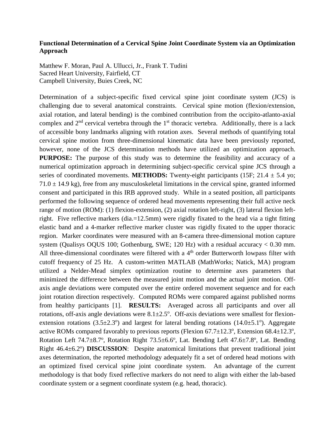### **Functional Determination of a Cervical Spine Joint Coordinate System via an Optimization Approach**

Matthew F. Moran, Paul A. Ullucci, Jr., Frank T. Tudini Sacred Heart University, Fairfield, CT Campbell University, Buies Creek, NC

Determination of a subject-specific fixed cervical spine joint coordinate system (JCS) is challenging due to several anatomical constraints. Cervical spine motion (flexion/extension, axial rotation, and lateral bending) is the combined contribution from the occipito-atlanto-axial complex and  $2<sup>nd</sup>$  cervical vertebra through the  $1<sup>st</sup>$  thoracic vertebra. Additionally, there is a lack of accessible bony landmarks aligning with rotation axes. Several methods of quantifying total cervical spine motion from three-dimensional kinematic data have been previously reported, however, none of the JCS determination methods have utilized an optimization approach. **PURPOSE:** The purpose of this study was to determine the feasibility and accuracy of a numerical optimization approach in determining subject-specific cervical spine JCS through a series of coordinated movements. **METHODS:** Twenty-eight participants (15F;  $21.4 \pm 5.4$  yo;  $71.0 \pm 14.9$  kg), free from any musculoskeletal limitations in the cervical spine, granted informed consent and participated in this IRB approved study. While in a seated position, all participants performed the following sequence of ordered head movements representing their full active neck range of motion (ROM): (1) flexion-extension, (2) axial rotation left-right, (3) lateral flexion leftright. Five reflective markers (dia.=12.5mm) were rigidly fixated to the head via a tight fitting elastic band and a 4-marker reflective marker cluster was rigidly fixated to the upper thoracic region. Marker coordinates were measured with an 8-camera three-dimensional motion capture system (Qualisys OQUS 100; Gothenburg, SWE; 120 Hz) with a residual accuracy < 0.30 mm. All three-dimensional coordinates were filtered with a  $4<sup>th</sup>$  order Butterworth lowpass filter with cutoff frequency of 25 Hz. A custom-written MATLAB (MathWorks; Natick, MA) program utilized a Nelder-Mead simplex optimization routine to determine axes parameters that minimized the difference between the measured joint motion and the actual joint motion. Offaxis angle deviations were computed over the entire ordered movement sequence and for each joint rotation direction respectively. Computed ROMs were compared against published norms from healthy participants [1]. **RESULTS:** Averaged across all participants and over all rotations, off-axis angle deviations were  $8.1 \pm 2.5$ °. Off-axis deviations were smallest for flexionextension rotations  $(3.5 \pm 2.3^{\circ})$  and largest for lateral bending rotations  $(14.0 \pm 5.1^{\circ})$ . Aggregate active ROMs compared favorably to previous reports (Flexion  $67.7 \pm 12.3^\circ$ , Extension  $68.4 \pm 12.3^\circ$ , Rotation Left 74.7±8.7°, Rotation Right 73.5±6.6°, Lat. Bending Left 47.6±7.8°, Lat. Bending Right 46.4±6.2<sup>o</sup>) **DISCUSSION**: Despite anatomical limitations that prevent traditional joint axes determination, the reported methodology adequately fit a set of ordered head motions with an optimized fixed cervical spine joint coordinate system. An advantage of the current methodology is that body fixed reflective markers do not need to align with either the lab-based coordinate system or a segment coordinate system (e.g. head, thoracic).